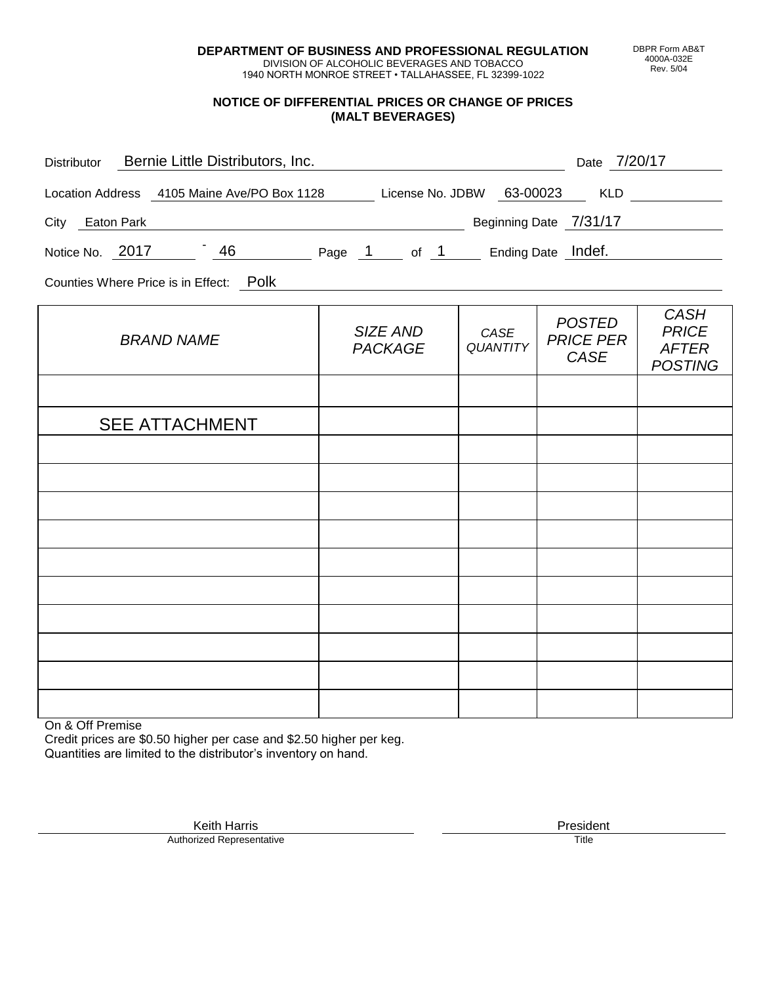**DEPARTMENT OF BUSINESS AND PROFESSIONAL REGULATION** DIVISION OF ALCOHOLIC BEVERAGES AND TOBACCO

1940 NORTH MONROE STREET • TALLAHASSEE, FL 32399-1022

#### **NOTICE OF DIFFERENTIAL PRICES OR CHANGE OF PRICES (MALT BEVERAGES)**

| Distributor Bernie Little Distributors, Inc.                              | Date 7/20/17               |                         |                                           |                                                               |
|---------------------------------------------------------------------------|----------------------------|-------------------------|-------------------------------------------|---------------------------------------------------------------|
| Location Address 4105 Maine Ave/PO Box 1128 License No. JDBW 63-00023 KLD |                            |                         |                                           |                                                               |
| City Eaton Park                                                           |                            |                         | Beginning Date 7/31/17                    |                                                               |
| Notice No. 2017 46 Page 1 of 1 Ending Date Indef.                         |                            |                         |                                           |                                                               |
| Counties Where Price is in Effect: Polk                                   |                            |                         |                                           |                                                               |
| <b>BRAND NAME</b>                                                         | SIZE AND<br><b>PACKAGE</b> | CASE<br><b>QUANTITY</b> | <b>POSTED</b><br><b>PRICE PER</b><br>CASE | <b>CASH</b><br><b>PRICE</b><br><b>AFTER</b><br><b>POSTING</b> |
|                                                                           |                            |                         |                                           |                                                               |
| <b>SEE ATTACHMENT</b>                                                     |                            |                         |                                           |                                                               |
|                                                                           |                            |                         |                                           |                                                               |
|                                                                           |                            |                         |                                           |                                                               |
|                                                                           |                            |                         |                                           |                                                               |
|                                                                           |                            |                         |                                           |                                                               |
|                                                                           |                            |                         |                                           |                                                               |
|                                                                           |                            |                         |                                           |                                                               |
|                                                                           |                            |                         |                                           |                                                               |

On & Off Premise

Authorized Representative

Credit prices are \$0.50 higher per case and \$2.50 higher per keg. Quantities are limited to the distributor's inventory on hand.

DBPR Form AB&T 4000A-032E Rev. 5/04

Keith Harris **President** President **President** President President **President** President **President**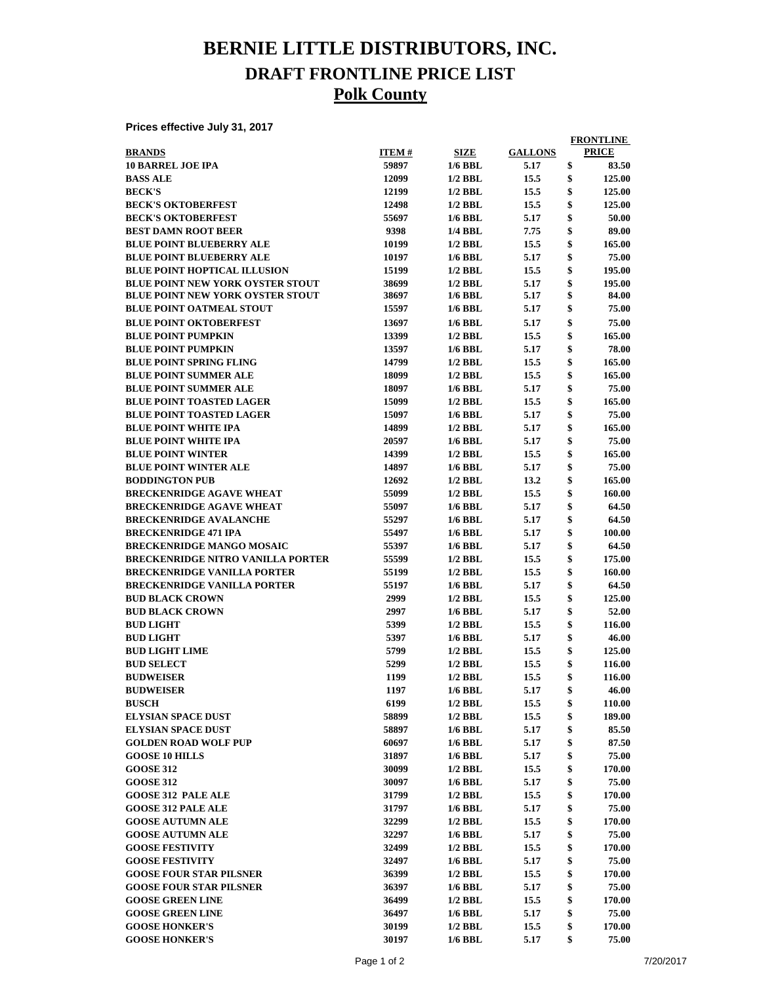## **BERNIE LITTLE DISTRIBUTORS, INC. DRAFT FRONTLINE PRICE LIST Polk County**

**Prices effective July 31, 2017**

|                                          |              |                |                | <b>FRONTLINE</b> |
|------------------------------------------|--------------|----------------|----------------|------------------|
| <b>BRANDS</b>                            | <b>ITEM#</b> | <b>SIZE</b>    | <b>GALLONS</b> | <b>PRICE</b>     |
| <b>10 BARREL JOE IPA</b>                 | 59897        | $1/6$ BBL      | 5.17           | \$<br>83.50      |
| <b>BASS ALE</b>                          | 12099        | $1/2$ BBL      | 15.5           | \$<br>125.00     |
| <b>BECK'S</b>                            | 12199        | $1/2$ BBL      | 15.5           | \$<br>125.00     |
| <b>BECK'S OKTOBERFEST</b>                | 12498        | $1/2$ BBL      | 15.5           | \$<br>125.00     |
| <b>BECK'S OKTOBERFEST</b>                | 55697        | $1/6$ BBL      | 5.17           | \$<br>50.00      |
| <b>BEST DAMN ROOT BEER</b>               | 9398         | 1/4 BBL        | 7.75           | \$<br>89.00      |
| <b>BLUE POINT BLUEBERRY ALE</b>          | 10199        | $1/2$ BBL      | 15.5           | \$<br>165.00     |
| <b>BLUE POINT BLUEBERRY ALE</b>          | 10197        | $1/6$ BBL      | 5.17           | \$<br>75.00      |
| <b>BLUE POINT HOPTICAL ILLUSION</b>      | 15199        | $1/2$ BBL      | 15.5           | \$<br>195.00     |
| <b>BLUE POINT NEW YORK OYSTER STOUT</b>  | 38699        | $1/2$ BBL      | 5.17           | \$<br>195.00     |
| <b>BLUE POINT NEW YORK OYSTER STOUT</b>  | 38697        | $1/6$ BBL      | 5.17           | \$<br>84.00      |
| <b>BLUE POINT OATMEAL STOUT</b>          | 15597        | $1/6$ BBL      | 5.17           | \$<br>75.00      |
| <b>BLUE POINT OKTOBERFEST</b>            | 13697        | $1/6$ BBL      | 5.17           | \$<br>75.00      |
| <b>BLUE POINT PUMPKIN</b>                | 13399        | $1/2$ BBL      | 15.5           | \$<br>165.00     |
| <b>BLUE POINT PUMPKIN</b>                | 13597        | $1/6$ BBL      | 5.17           | \$<br>78.00      |
| <b>BLUE POINT SPRING FLING</b>           | 14799        | $1/2$ BBL      | 15.5           | \$<br>165.00     |
| <b>BLUE POINT SUMMER ALE</b>             | 18099        | $1/2$ BBL      | 15.5           | \$<br>165.00     |
| <b>BLUE POINT SUMMER ALE</b>             | 18097        | $1/6$ BBL      | 5.17           | \$<br>75.00      |
| <b>BLUE POINT TOASTED LAGER</b>          | 15099        | $1/2$ BBL      | 15.5           | \$<br>165.00     |
| <b>BLUE POINT TOASTED LAGER</b>          | 15097        | $1/6$ BBL      | 5.17           | \$<br>75.00      |
| <b>BLUE POINT WHITE IPA</b>              | 14899        | $1/2$ BBL      | 5.17           | \$<br>165.00     |
| <b>BLUE POINT WHITE IPA</b>              | 20597        | $1/6$ BBL      | 5.17           | \$<br>75.00      |
| <b>BLUE POINT WINTER</b>                 | 14399        | $1/2$ BBL      | 15.5           | \$<br>165.00     |
| <b>BLUE POINT WINTER ALE</b>             | 14897        | $1/6$ BBL      | 5.17           | \$<br>75.00      |
| <b>BODDINGTON PUB</b>                    | 12692        | $1/2$ BBL      | 13.2           | \$<br>165.00     |
| <b>BRECKENRIDGE AGAVE WHEAT</b>          | 55099        | $1/2$ BBL      | 15.5           | \$<br>160.00     |
| <b>BRECKENRIDGE AGAVE WHEAT</b>          | 55097        | $1/6$ BBL      |                | \$<br>64.50      |
|                                          |              |                | 5.17           | \$               |
| <b>BRECKENRIDGE AVALANCHE</b>            | 55297        | $1/6$ BBL      | 5.17           | \$<br>64.50      |
| <b>BRECKENRIDGE 471 IPA</b>              | 55497        | $1/6$ BBL      | 5.17           | 100.00           |
| <b>BRECKENRIDGE MANGO MOSAIC</b>         | 55397        | $1/6$ BBL      | 5.17           | \$<br>64.50      |
| <b>BRECKENRIDGE NITRO VANILLA PORTER</b> | 55599        | $1/2$ BBL      | 15.5           | \$<br>175.00     |
| <b>BRECKENRIDGE VANILLA PORTER</b>       | 55199        | $1/2$ BBL      | 15.5           | \$<br>160.00     |
| <b>BRECKENRIDGE VANILLA PORTER</b>       | 55197        | $1/6$ BBL      | 5.17           | \$<br>64.50      |
| <b>BUD BLACK CROWN</b>                   | 2999         | $1/2$ BBL      | 15.5           | \$<br>125.00     |
| <b>BUD BLACK CROWN</b>                   | 2997         | $1/6$ BBL      | 5.17           | \$<br>52.00      |
| <b>BUD LIGHT</b>                         | 5399         | $1/2$ BBL      | 15.5           | \$<br>116.00     |
| <b>BUD LIGHT</b>                         | 5397         | $1/6$ BBL      | 5.17           | \$<br>46.00      |
| <b>BUD LIGHT LIME</b>                    | 5799         | $1/2$ BBL      | 15.5           | \$<br>125.00     |
| <b>BUD SELECT</b>                        | 5299         | $1/2$ BBL      | 15.5           | \$<br>116.00     |
| <b>BUDWEISER</b>                         | 1199         | $1/2$ BBL      | 15.5           | \$<br>116.00     |
| <b>BUDWEISER</b>                         | 1197         | 1/6 BBL        | 5.17           | 46.00            |
| <b>BUSCH</b>                             | 6199         | $1/2$ BBL      | 15.5           | \$<br>110.00     |
| <b>ELYSIAN SPACE DUST</b>                | 58899        | $1/2$ BBL      | 15.5           | \$<br>189.00     |
| <b>ELYSIAN SPACE DUST</b>                | 58897        | <b>1/6 BBL</b> | 5.17           | \$<br>85.50      |
| <b>GOLDEN ROAD WOLF PUP</b>              | 60697        | $1/6$ BBL      | 5.17           | \$<br>87.50      |
| <b>GOOSE 10 HILLS</b>                    | 31897        | <b>1/6 BBL</b> | 5.17           | \$<br>75.00      |
| <b>GOOSE 312</b>                         | 30099        | $1/2$ BBL      | 15.5           | \$<br>170.00     |
| <b>GOOSE 312</b>                         | 30097        | $1/6$ BBL      | 5.17           | \$<br>75.00      |
| <b>GOOSE 312 PALE ALE</b>                | 31799        | $1/2$ BBL      | 15.5           | \$<br>170.00     |
| <b>GOOSE 312 PALE ALE</b>                | 31797        | $1/6$ BBL      | 5.17           | \$<br>75.00      |
| <b>GOOSE AUTUMN ALE</b>                  | 32299        | $1/2$ BBL      | 15.5           | \$<br>170.00     |
| <b>GOOSE AUTUMN ALE</b>                  | 32297        | $1/6$ BBL      | 5.17           | \$<br>75.00      |
| <b>GOOSE FESTIVITY</b>                   | 32499        | $1/2$ BBL      | 15.5           | \$<br>170.00     |
| <b>GOOSE FESTIVITY</b>                   | 32497        | $1/6$ BBL      | 5.17           | \$<br>75.00      |
| <b>GOOSE FOUR STAR PILSNER</b>           | 36399        | $1/2$ BBL      | 15.5           | \$<br>170.00     |
| <b>GOOSE FOUR STAR PILSNER</b>           | 36397        | 1/6 BBL        | 5.17           | \$<br>75.00      |
| <b>GOOSE GREEN LINE</b>                  | 36499        | $1/2$ BBL      | 15.5           | \$<br>170.00     |
| <b>GOOSE GREEN LINE</b>                  | 36497        | $1/6$ BBL      | 5.17           | \$<br>75.00      |
| <b>GOOSE HONKER'S</b>                    | 30199        | $1/2$ BBL      | 15.5           | \$<br>170.00     |
| <b>GOOSE HONKER'S</b>                    | 30197        | $1/6$ BBL      | 5.17           | \$<br>75.00      |
|                                          |              |                |                |                  |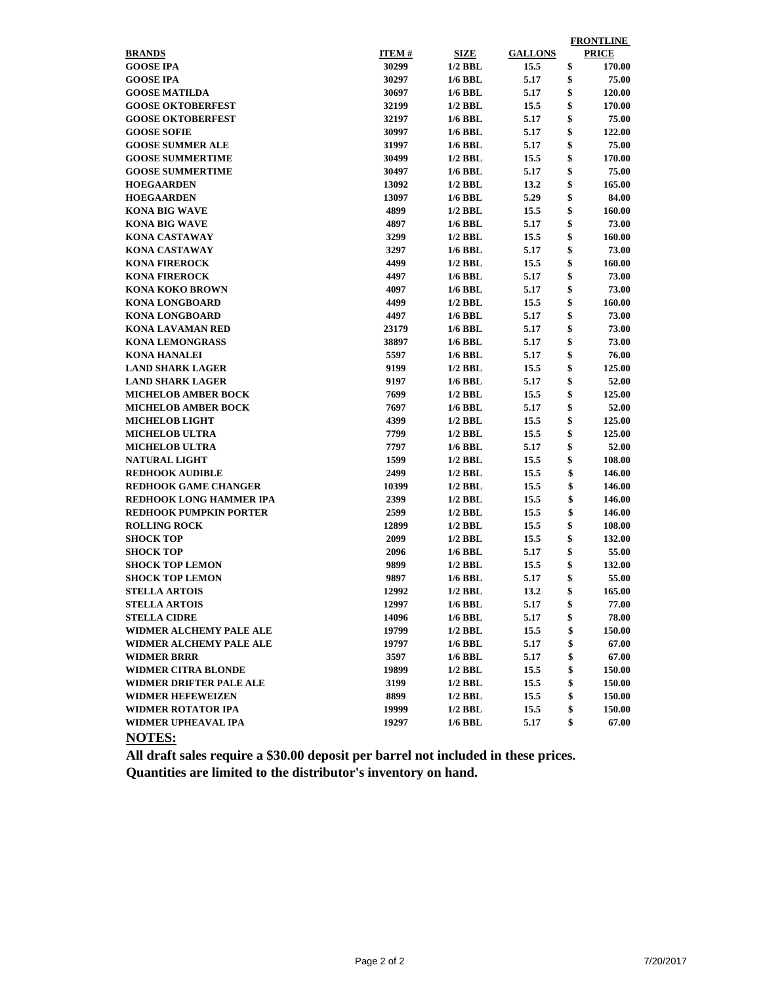|                               |              |                |                |    | <b>FRONTLINE</b> |  |  |  |
|-------------------------------|--------------|----------------|----------------|----|------------------|--|--|--|
| <b>BRANDS</b>                 | <b>ITEM#</b> | <b>SIZE</b>    | <b>GALLONS</b> |    | <b>PRICE</b>     |  |  |  |
| <b>GOOSE IPA</b>              | 30299        | $1/2$ BBL      | 15.5           | \$ | 170.00           |  |  |  |
| <b>GOOSE IPA</b>              | 30297        | <b>1/6 BBL</b> | 5.17           | \$ | 75.00            |  |  |  |
| <b>GOOSE MATILDA</b>          | 30697        | <b>1/6 BBL</b> | 5.17           | \$ | <b>120.00</b>    |  |  |  |
| <b>GOOSE OKTOBERFEST</b>      | 32199        | $1/2$ BBL      | 15.5           | \$ | 170.00           |  |  |  |
| <b>GOOSE OKTOBERFEST</b>      | 32197        | $1/6$ BBL      | 5.17           | \$ | 75.00            |  |  |  |
| <b>GOOSE SOFIE</b>            | 30997        | $1/6$ BBL      | 5.17           | \$ | 122.00           |  |  |  |
| <b>GOOSE SUMMER ALE</b>       | 31997        | $1/6$ BBL      | 5.17           | \$ | 75.00            |  |  |  |
| <b>GOOSE SUMMERTIME</b>       | 30499        | $1/2$ BBL      | 15.5           | \$ | 170.00           |  |  |  |
| <b>GOOSE SUMMERTIME</b>       | 30497        | $1/6$ BBL      | 5.17           | \$ | 75.00            |  |  |  |
| <b>HOEGAARDEN</b>             | 13092        | $1/2$ BBL      | 13.2           | \$ | 165.00           |  |  |  |
| <b>HOEGAARDEN</b>             | 13097        | $1/6$ BBL      | 5.29           | \$ | 84.00            |  |  |  |
| <b>KONA BIG WAVE</b>          | 4899         | $1/2$ BBL      | 15.5           |    | 160.00           |  |  |  |
| <b>KONA BIG WAVE</b>          | 4897         | $1/6$ BBL      | 5.17           |    | 73.00            |  |  |  |
| <b>KONA CASTAWAY</b>          | 3299         | $1/2$ BBL      | \$<br>15.5     |    | 160.00           |  |  |  |
| <b>KONA CASTAWAY</b>          | 3297         | $1/6$ BBL      | 5.17           | \$ | 73.00            |  |  |  |
| <b>KONA FIREROCK</b>          | 4499         | $1/2$ BBL      | 15.5           | \$ | 160.00           |  |  |  |
| <b>KONA FIREROCK</b>          | 4497         | $1/6$ BBL      | 5.17           | \$ | 73.00            |  |  |  |
| <b>KONA KOKO BROWN</b>        | 4097         | $1/6$ BBL      | 5.17           | \$ | 73.00            |  |  |  |
| <b>KONA LONGBOARD</b>         | 4499         | $1/2$ BBL      | 15.5           | \$ | 160.00           |  |  |  |
| <b>KONA LONGBOARD</b>         | 4497         | 1/6 BBL        | 5.17           | \$ | 73.00            |  |  |  |
| <b>KONA LAVAMAN RED</b>       | 23179        | $1/6$ BBL      | 5.17           | \$ | 73.00            |  |  |  |
| <b>KONA LEMONGRASS</b>        | 38897        | $1/6$ BBL      | 5.17           | \$ | 73.00            |  |  |  |
| <b>KONA HANALEI</b>           | 5597         | <b>1/6 BBL</b> | 5.17           | \$ | 76.00            |  |  |  |
| <b>LAND SHARK LAGER</b>       | 9199         | $1/2$ BBL      | 15.5           | \$ | 125.00           |  |  |  |
| <b>LAND SHARK LAGER</b>       | 9197         | $1/6$ BBL      | 5.17           | \$ | 52.00            |  |  |  |
| <b>MICHELOB AMBER BOCK</b>    | 7699         | $1/2$ BBL      | 15.5           | \$ | 125.00           |  |  |  |
| <b>MICHELOB AMBER BOCK</b>    | 7697         | <b>1/6 BBL</b> | 5.17           | \$ | 52.00            |  |  |  |
| <b>MICHELOB LIGHT</b>         | 4399         | $1/2$ BBL      | 15.5           | \$ | 125.00           |  |  |  |
| <b>MICHELOB ULTRA</b>         | 7799         | $1/2$ BBL      | 15.5           | \$ | 125.00           |  |  |  |
| <b>MICHELOB ULTRA</b>         | 7797         | $1/6$ BBL      | 5.17           | \$ | 52.00            |  |  |  |
| <b>NATURAL LIGHT</b>          | 1599         | $1/2$ BBL      | 15.5           | \$ | 108.00           |  |  |  |
| <b>REDHOOK AUDIBLE</b>        | 2499         | $1/2$ BBL      | 15.5           | \$ | 146.00           |  |  |  |
| <b>REDHOOK GAME CHANGER</b>   | 10399        | $1/2$ BBL      | 15.5           | \$ | 146.00           |  |  |  |
| REDHOOK LONG HAMMER IPA       | 2399         | $1/2$ BBL      | 15.5           | \$ | 146.00           |  |  |  |
| <b>REDHOOK PUMPKIN PORTER</b> | 2599         | $1/2$ BBL      | 15.5           | \$ | 146.00           |  |  |  |
| <b>ROLLING ROCK</b>           | 12899        | $1/2$ BBL      | 15.5           | \$ | 108.00           |  |  |  |
| <b>SHOCK TOP</b>              | 2099         | $1/2$ BBL      | 15.5           | \$ | 132.00           |  |  |  |
| <b>SHOCK TOP</b>              | 2096         | $1/6$ BBL      | 5.17           | \$ | 55.00            |  |  |  |
| <b>SHOCK TOP LEMON</b>        | 9899         | $1/2$ BBL      | 15.5           | \$ | 132.00           |  |  |  |
| <b>SHOCK TOP LEMON</b>        | 9897         | $1/6$ BBL      | 5.17           | \$ | 55.00            |  |  |  |
| <b>STELLA ARTOIS</b>          | 12992        | $1/2$ BBL      | 13.2           |    | 165.00           |  |  |  |
| <b>STELLA ARTOIS</b>          | 12997        | $1/6$ BBL      | 5.17           | \$ | 77.00            |  |  |  |
| <b>STELLA CIDRE</b>           | 14096        | <b>1/6 BBL</b> | 5.17           | \$ | 78.00            |  |  |  |
| WIDMER ALCHEMY PALE ALE       | 19799        | $1/2$ BBL      | 15.5           | \$ | 150.00           |  |  |  |
| WIDMER ALCHEMY PALE ALE       | 19797        | <b>1/6 BBL</b> | 5.17           | \$ | 67.00            |  |  |  |
| <b>WIDMER BRRR</b>            | 3597         | 1/6 BBL        | 5.17           | \$ | 67.00            |  |  |  |
| WIDMER CITRA BLONDE           | 19899        | $1/2$ BBL      | 15.5           | \$ | 150.00           |  |  |  |
| WIDMER DRIFTER PALE ALE       | 3199         | $1/2$ BBL      | 15.5           | \$ | 150.00           |  |  |  |
| <b>WIDMER HEFEWEIZEN</b>      | 8899         | $1/2$ BBL      | 15.5           | \$ | 150.00           |  |  |  |
| WIDMER ROTATOR IPA            | 19999        | $1/2$ BBL      | 15.5           | \$ | 150.00           |  |  |  |
| WIDMER UPHEAVAL IPA           | 19297        | $1/6$ BBL      | 5.17           | \$ | 67.00            |  |  |  |
| <b>NOTES:</b>                 |              |                |                |    |                  |  |  |  |

**All draft sales require a \$30.00 deposit per barrel not included in these prices. Quantities are limited to the distributor's inventory on hand.**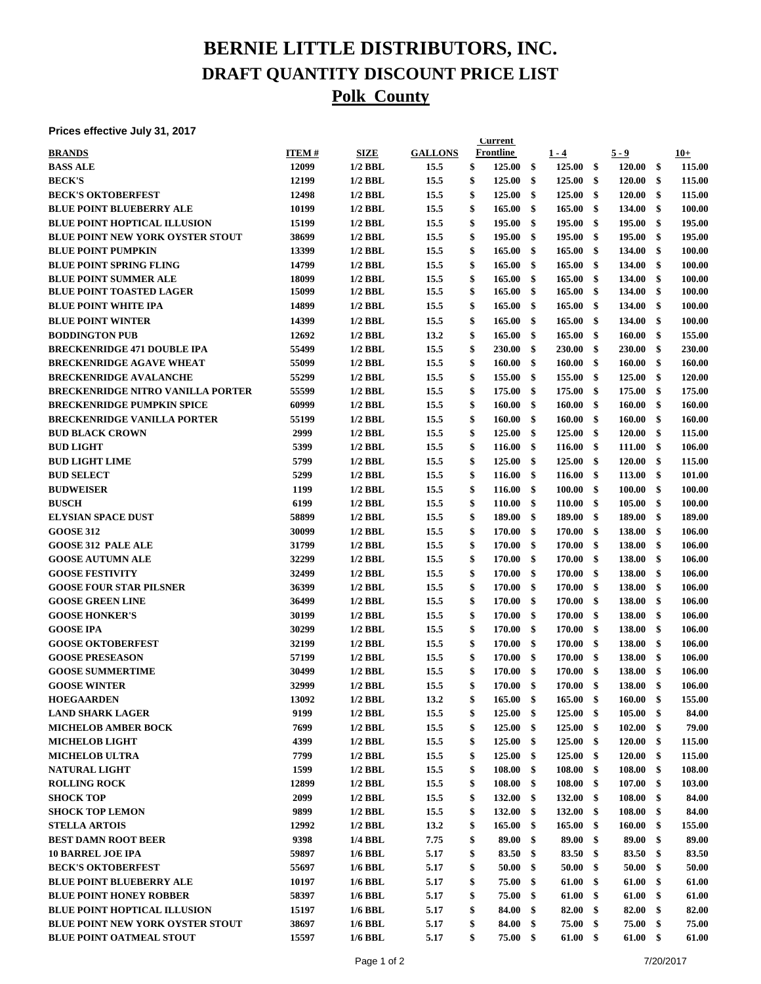# **BERNIE LITTLE DISTRIBUTORS, INC. DRAFT QUANTITY DISCOUNT PRICE LIST Polk County**

#### **Prices effective July 31, 2017**

| , ,,,,,,,,,,,,,,,,,,,,,                  |              |             |                | <b>Current</b>         |               |                  |                     |              |
|------------------------------------------|--------------|-------------|----------------|------------------------|---------------|------------------|---------------------|--------------|
| <b>BRANDS</b>                            | <b>ITEM#</b> | <b>SIZE</b> | <b>GALLONS</b> | <b>Frontline</b>       |               | $1 - 4$          | $5 - 9$             | $10+$        |
| <b>BASS ALE</b>                          | 12099        | $1/2$ BBL   | 15.5           | \$<br>125.00           | $\mathbf{\$}$ | 125.00           | \$<br>120.00        | \$<br>115.00 |
| <b>BECK'S</b>                            | 12199        | $1/2$ BBL   | 15.5           | \$<br>125.00           | \$            | 125.00           | \$<br>120.00        | \$<br>115.00 |
| <b>BECK'S OKTOBERFEST</b>                | 12498        | $1/2$ BBL   | 15.5           | \$<br>125.00           | \$            | 125.00           | \$<br>120.00        | \$<br>115.00 |
| <b>BLUE POINT BLUEBERRY ALE</b>          | 10199        | $1/2$ BBL   | 15.5           | \$<br>165.00           | \$            | 165.00           | \$<br>134.00        | \$<br>100.00 |
| <b>BLUE POINT HOPTICAL ILLUSION</b>      | 15199        | $1/2$ BBL   | 15.5           | \$<br>195.00           | \$            | 195.00           | \$<br>195.00        | \$<br>195.00 |
| <b>BLUE POINT NEW YORK OYSTER STOUT</b>  | 38699        | $1/2$ BBL   | 15.5           | \$<br>195.00           | \$            | 195.00           | \$<br>195.00        | \$<br>195.00 |
| <b>BLUE POINT PUMPKIN</b>                | 13399        | $1/2$ BBL   | 15.5           | \$<br>165.00           | \$            | 165.00           | \$<br>134.00        | \$<br>100.00 |
| <b>BLUE POINT SPRING FLING</b>           | 14799        | $1/2$ BBL   | 15.5           | \$<br>165.00           | \$            | 165.00           | \$<br>134.00        | \$<br>100.00 |
| <b>BLUE POINT SUMMER ALE</b>             | 18099        | $1/2$ BBL   | 15.5           | \$<br>165.00           | \$            | 165.00           | \$<br>134.00        | \$<br>100.00 |
| <b>BLUE POINT TOASTED LAGER</b>          | 15099        | $1/2$ BBL   | 15.5           | \$<br>165.00           | \$            | 165.00           | \$<br>134.00        | \$<br>100.00 |
| <b>BLUE POINT WHITE IPA</b>              | 14899        | $1/2$ BBL   | 15.5           | \$<br>165.00           | \$            | 165.00           | \$<br>134.00        | \$<br>100.00 |
| <b>BLUE POINT WINTER</b>                 | 14399        | $1/2$ BBL   | 15.5           | \$<br>165.00           | \$            | 165.00           | \$<br>134.00        | \$<br>100.00 |
| <b>BODDINGTON PUB</b>                    | 12692        | $1/2$ BBL   | 13.2           | \$<br>165.00           | \$            | 165.00           | \$<br>160.00        | \$<br>155.00 |
| <b>BRECKENRIDGE 471 DOUBLE IPA</b>       | 55499        | $1/2$ BBL   | 15.5           | \$<br>230.00           | \$            | 230.00           | \$<br>230.00        | \$<br>230.00 |
| <b>BRECKENRIDGE AGAVE WHEAT</b>          | 55099        | $1/2$ BBL   | 15.5           | \$<br>160.00           | \$            | 160.00           | \$<br>160.00        | \$<br>160.00 |
| <b>BRECKENRIDGE AVALANCHE</b>            | 55299        | $1/2$ BBL   | 15.5           | \$<br>155.00           | \$            | 155.00           | \$<br>125.00        | \$<br>120.00 |
|                                          |              |             |                |                        |               |                  |                     |              |
| <b>BRECKENRIDGE NITRO VANILLA PORTER</b> | 55599        | $1/2$ BBL   | 15.5           | \$<br>175.00           | \$            | 175.00           | \$<br>175.00        | \$<br>175.00 |
| <b>BRECKENRIDGE PUMPKIN SPICE</b>        | 60999        | $1/2$ BBL   | 15.5           | \$<br>160.00           | \$            | 160.00           | \$<br>160.00        | \$<br>160.00 |
| <b>BRECKENRIDGE VANILLA PORTER</b>       | 55199        | $1/2$ BBL   | 15.5           | \$<br>160.00           | \$            | 160.00           | \$<br>160.00        | \$<br>160.00 |
| <b>BUD BLACK CROWN</b>                   | 2999         | $1/2$ BBL   | 15.5           | \$<br>125.00           | \$            | 125.00           | \$<br>120.00        | \$<br>115.00 |
| <b>BUD LIGHT</b>                         | 5399         | $1/2$ BBL   | 15.5           | \$<br>116.00           | \$            | 116.00           | \$<br>111.00        | \$<br>106.00 |
| <b>BUD LIGHT LIME</b>                    | 5799         | $1/2$ BBL   | 15.5           | \$<br>125.00           | \$            | 125.00           | \$<br>120.00        | \$<br>115.00 |
| <b>BUD SELECT</b>                        | 5299         | $1/2$ BBL   | 15.5           | \$<br>116.00           | \$            | 116.00           | \$<br>113.00        | \$<br>101.00 |
| <b>BUDWEISER</b>                         | 1199         | $1/2$ BBL   | 15.5           | \$<br>116.00           | \$            | 100.00           | \$<br>100.00        | \$<br>100.00 |
| <b>BUSCH</b>                             | 6199         | $1/2$ BBL   | 15.5           | \$<br>110.00           | \$            | 110.00           | \$<br>105.00        | \$<br>100.00 |
| <b>ELYSIAN SPACE DUST</b>                | 58899        | $1/2$ BBL   | 15.5           | \$<br>189.00           | \$            | 189.00           | \$<br>189.00        | \$<br>189.00 |
| <b>GOOSE 312</b>                         | 30099        | $1/2$ BBL   | 15.5           | \$<br>170.00           | \$            | 170.00           | \$<br>138.00        | \$<br>106.00 |
| <b>GOOSE 312 PALE ALE</b>                | 31799        | $1/2$ BBL   | 15.5           | \$<br>170.00           | \$            | 170.00           | \$<br>138.00        | \$<br>106.00 |
| <b>GOOSE AUTUMN ALE</b>                  | 32299        | $1/2$ BBL   | 15.5           | \$<br>170.00           | \$            | 170.00           | \$<br>138.00        | \$<br>106.00 |
| <b>GOOSE FESTIVITY</b>                   | 32499        | $1/2$ BBL   | 15.5           | \$<br>170.00           | \$            | 170.00           | \$<br>138.00        | \$<br>106.00 |
| <b>GOOSE FOUR STAR PILSNER</b>           | 36399        | $1/2$ BBL   | 15.5           | \$<br>170.00           | \$            | 170.00           | \$<br>138.00        | \$<br>106.00 |
| <b>GOOSE GREEN LINE</b>                  | 36499        | $1/2$ BBL   | 15.5           | \$<br>170.00           | \$            | 170.00           | \$<br>138.00        | \$<br>106.00 |
| <b>GOOSE HONKER'S</b>                    | 30199        | $1/2$ BBL   | 15.5           | \$<br>170.00           | \$            | 170.00           | \$<br>138.00        | \$<br>106.00 |
| <b>GOOSE IPA</b>                         | 30299        | $1/2$ BBL   | 15.5           | \$<br>170.00           | \$            | 170.00           | \$<br>138.00        | \$<br>106.00 |
| <b>GOOSE OKTOBERFEST</b>                 | 32199        | $1/2$ BBL   | 15.5           | \$<br>170.00           | \$            | 170.00           | \$<br>138.00        | \$<br>106.00 |
| <b>GOOSE PRESEASON</b>                   | 57199        | $1/2$ BBL   | 15.5           | \$<br>170.00           | \$            | 170.00           | \$<br>138.00        | \$<br>106.00 |
| <b>GOOSE SUMMERTIME</b>                  | 30499        | $1/2$ BBL   | 15.5           | \$<br>170.00           | \$            | 170.00           | \$<br>138.00        | \$<br>106.00 |
| <b>GOOSE WINTER</b>                      | 32999        | $1/2$ BBL   | 15.5           | \$<br>170.00           | \$            | 170.00           | \$<br>138.00        | \$<br>106.00 |
| <b>HOEGAARDEN</b>                        | 13092        | $1/2$ BBL   | 13.2           | \$<br>$165.00\quad$ \$ |               | $165.00\quad$ \$ | 160.00              | \$<br>155.00 |
| <b>LAND SHARK LAGER</b>                  | 9199         | $1/2$ BBL   | 15.5           | \$<br>125.00           | \$            | 125.00           | \$<br>105.00        | \$<br>84.00  |
| <b>MICHELOB AMBER BOCK</b>               | 7699         | $1/2$ BBL   | 15.5           | \$<br>125.00           | \$            | 125.00           | \$<br>102.00        | \$<br>79.00  |
| <b>MICHELOB LIGHT</b>                    | 4399         | $1/2$ BBL   | 15.5           | \$<br>125.00           | \$            | 125.00           | \$<br>120.00        | \$<br>115.00 |
| <b>MICHELOB ULTRA</b>                    | 7799         | $1/2$ BBL   | 15.5           | \$<br>125.00           | -\$           | 125.00           | \$<br>120.00        | \$<br>115.00 |
| <b>NATURAL LIGHT</b>                     | 1599         | $1/2$ BBL   | 15.5           | \$<br>108.00           | \$            | 108.00           | \$<br>108.00        | \$<br>108.00 |
|                                          |              |             |                |                        |               |                  |                     |              |
| <b>ROLLING ROCK</b>                      | 12899        | $1/2$ BBL   | 15.5           | \$<br>108.00           | \$            | 108.00           | \$<br>107.00        | \$<br>103.00 |
| <b>SHOCK TOP</b>                         | 2099         | $1/2$ BBL   | 15.5           | \$<br>132.00           | \$            | 132.00           | \$<br>108.00        | \$<br>84.00  |
| <b>SHOCK TOP LEMON</b>                   | 9899         | $1/2$ BBL   | 15.5           | \$<br>132.00           | \$            | 132.00           | \$<br>108.00        | \$<br>84.00  |
| <b>STELLA ARTOIS</b>                     | 12992        | $1/2$ BBL   | 13.2           | \$<br>165.00           | \$            | 165.00           | \$<br><b>160.00</b> | \$<br>155.00 |
| <b>BEST DAMN ROOT BEER</b>               | 9398         | 1/4 BBL     | 7.75           | \$<br>89.00            | \$            | 89.00            | \$<br>89.00         | \$<br>89.00  |
| <b>10 BARREL JOE IPA</b>                 | 59897        | $1/6$ BBL   | 5.17           | \$<br>83.50            | \$            | 83.50            | \$<br>83.50         | \$<br>83.50  |
| <b>BECK'S OKTOBERFEST</b>                | 55697        | $1/6$ BBL   | 5.17           | \$<br>50.00            | \$            | 50.00            | \$<br>50.00         | \$<br>50.00  |
| <b>BLUE POINT BLUEBERRY ALE</b>          | 10197        | $1/6$ BBL   | 5.17           | \$<br>75.00            | \$            | 61.00            | \$<br>61.00         | \$<br>61.00  |
| <b>BLUE POINT HONEY ROBBER</b>           | 58397        | $1/6$ BBL   | 5.17           | \$<br>75.00            | \$            | 61.00            | \$<br>61.00         | \$<br>61.00  |
| <b>BLUE POINT HOPTICAL ILLUSION</b>      | 15197        | $1/6$ BBL   | 5.17           | \$<br>84.00            | \$            | 82.00            | \$<br>82.00         | \$<br>82.00  |
| <b>BLUE POINT NEW YORK OYSTER STOUT</b>  | 38697        | $1/6$ BBL   | 5.17           | \$<br>84.00            | \$            | 75.00            | \$<br>75.00         | \$<br>75.00  |
| <b>BLUE POINT OATMEAL STOUT</b>          | 15597        | $1/6$ BBL   | 5.17           | \$<br>75.00            | \$            | 61.00            | \$<br>61.00         | \$<br>61.00  |